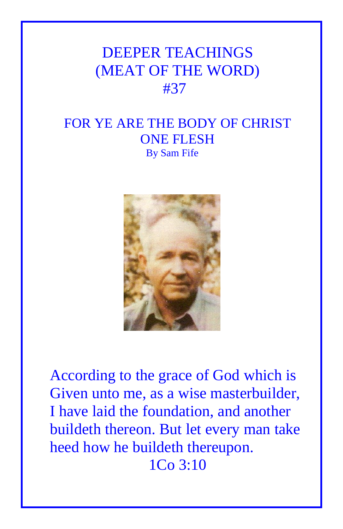## DEEPER TEACHINGS (MEAT OF THE WORD) #37

## FOR YE ARE THE BODY OF CHRIST ONE FLESH By Sam Fife



According to the grace of God which is Given unto me, as a wise masterbuilder, I have laid the foundation, and another buildeth thereon. But let every man take heed how he buildeth thereupon. 1Co 3:10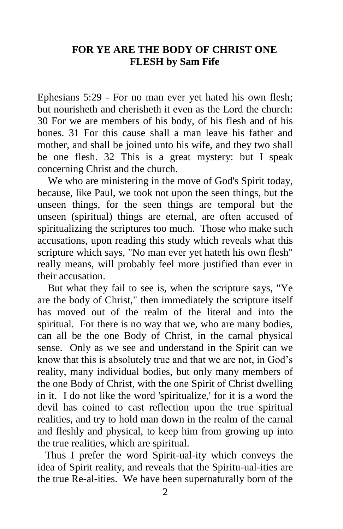## **FOR YE ARE THE BODY OF CHRIST ONE FLESH by Sam Fife**

Ephesians 5:29 - For no man ever yet hated his own flesh; but nourisheth and cherisheth it even as the Lord the church: 30 For we are members of his body, of his flesh and of his bones. 31 For this cause shall a man leave his father and mother, and shall be joined unto his wife, and they two shall be one flesh. 32 This is a great mystery: but I speak concerning Christ and the church.

 We who are ministering in the move of God's Spirit today, because, like Paul, we took not upon the seen things, but the unseen things, for the seen things are temporal but the unseen (spiritual) things are eternal, are often accused of spiritualizing the scriptures too much. Those who make such accusations, upon reading this study which reveals what this scripture which says, "No man ever yet hateth his own flesh" really means, will probably feel more justified than ever in their accusation.

 But what they fail to see is, when the scripture says, "Ye are the body of Christ," then immediately the scripture itself has moved out of the realm of the literal and into the spiritual. For there is no way that we, who are many bodies, can all be the one Body of Christ, in the carnal physical sense. Only as we see and understand in the Spirit can we know that this is absolutely true and that we are not, in God's reality, many individual bodies, but only many members of the one Body of Christ, with the one Spirit of Christ dwelling in it. I do not like the word 'spiritualize,' for it is a word the devil has coined to cast reflection upon the true spiritual realities, and try to hold man down in the realm of the carnal and fleshly and physical, to keep him from growing up into the true realities, which are spiritual.

 Thus I prefer the word Spirit-ual-ity which conveys the idea of Spirit reality, and reveals that the Spiritu-ual-ities are the true Re-al-ities. We have been supernaturally born of the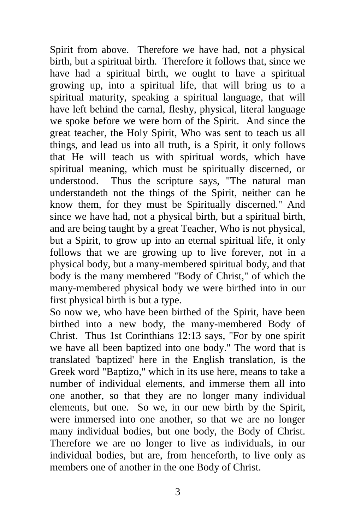Spirit from above. Therefore we have had, not a physical birth, but a spiritual birth. Therefore it follows that, since we have had a spiritual birth, we ought to have a spiritual growing up, into a spiritual life, that will bring us to a spiritual maturity, speaking a spiritual language, that will have left behind the carnal, fleshy, physical, literal language we spoke before we were born of the Spirit. And since the great teacher, the Holy Spirit, Who was sent to teach us all things, and lead us into all truth, is a Spirit, it only follows that He will teach us with spiritual words, which have spiritual meaning, which must be spiritually discerned, or understood. Thus the scripture says, "The natural man understandeth not the things of the Spirit, neither can he know them, for they must be Spiritually discerned." And since we have had, not a physical birth, but a spiritual birth, and are being taught by a great Teacher, Who is not physical, but a Spirit, to grow up into an eternal spiritual life, it only follows that we are growing up to live forever, not in a physical body, but a many-membered spiritual body, and that body is the many membered "Body of Christ," of which the many-membered physical body we were birthed into in our first physical birth is but a type.

So now we, who have been birthed of the Spirit, have been birthed into a new body, the many-membered Body of Christ. Thus 1st Corinthians 12:13 says, "For by one spirit we have all been baptized into one body." The word that is translated 'baptized' here in the English translation, is the Greek word "Baptizo," which in its use here, means to take a number of individual elements, and immerse them all into one another, so that they are no longer many individual elements, but one. So we, in our new birth by the Spirit, were immersed into one another, so that we are no longer many individual bodies, but one body, the Body of Christ. Therefore we are no longer to live as individuals, in our individual bodies, but are, from henceforth, to live only as members one of another in the one Body of Christ.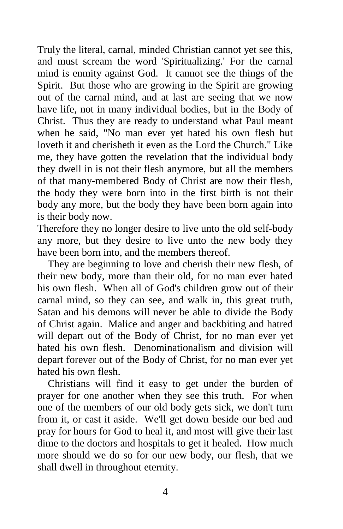Truly the literal, carnal, minded Christian cannot yet see this, and must scream the word 'Spiritualizing.' For the carnal mind is enmity against God. It cannot see the things of the Spirit. But those who are growing in the Spirit are growing out of the carnal mind, and at last are seeing that we now have life, not in many individual bodies, but in the Body of Christ. Thus they are ready to understand what Paul meant when he said, "No man ever yet hated his own flesh but loveth it and cherisheth it even as the Lord the Church." Like me, they have gotten the revelation that the individual body they dwell in is not their flesh anymore, but all the members of that many-membered Body of Christ are now their flesh, the body they were born into in the first birth is not their body any more, but the body they have been born again into is their body now.

Therefore they no longer desire to live unto the old self-body any more, but they desire to live unto the new body they have been born into, and the members thereof.

 They are beginning to love and cherish their new flesh, of their new body, more than their old, for no man ever hated his own flesh. When all of God's children grow out of their carnal mind, so they can see, and walk in, this great truth, Satan and his demons will never be able to divide the Body of Christ again. Malice and anger and backbiting and hatred will depart out of the Body of Christ, for no man ever yet hated his own flesh. Denominationalism and division will depart forever out of the Body of Christ, for no man ever yet hated his own flesh.

 Christians will find it easy to get under the burden of prayer for one another when they see this truth. For when one of the members of our old body gets sick, we don't turn from it, or cast it aside. We'll get down beside our bed and pray for hours for God to heal it, and most will give their last dime to the doctors and hospitals to get it healed. How much more should we do so for our new body, our flesh, that we shall dwell in throughout eternity.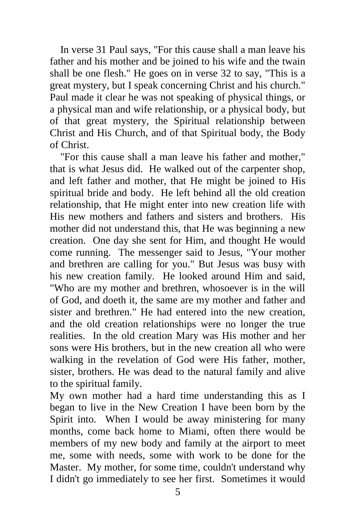In verse 31 Paul says, "For this cause shall a man leave his father and his mother and be joined to his wife and the twain shall be one flesh." He goes on in verse 32 to say, "This is a great mystery, but I speak concerning Christ and his church." Paul made it clear he was not speaking of physical things, or a physical man and wife relationship, or a physical body, but of that great mystery, the Spiritual relationship between Christ and His Church, and of that Spiritual body, the Body of Christ.

 "For this cause shall a man leave his father and mother," that is what Jesus did. He walked out of the carpenter shop, and left father and mother, that He might be joined to His spiritual bride and body. He left behind all the old creation relationship, that He might enter into new creation life with His new mothers and fathers and sisters and brothers. His mother did not understand this, that He was beginning a new creation. One day she sent for Him, and thought He would come running. The messenger said to Jesus, "Your mother and brethren are calling for you." But Jesus was busy with his new creation family. He looked around Him and said, "Who are my mother and brethren, whosoever is in the will of God, and doeth it, the same are my mother and father and sister and brethren." He had entered into the new creation, and the old creation relationships were no longer the true realities. In the old creation Mary was His mother and her sons were His brothers, but in the new creation all who were walking in the revelation of God were His father, mother, sister, brothers. He was dead to the natural family and alive to the spiritual family.

My own mother had a hard time understanding this as I began to live in the New Creation I have been born by the Spirit into. When I would be away ministering for many months, come back home to Miami, often there would be members of my new body and family at the airport to meet me, some with needs, some with work to be done for the Master. My mother, for some time, couldn't understand why I didn't go immediately to see her first. Sometimes it would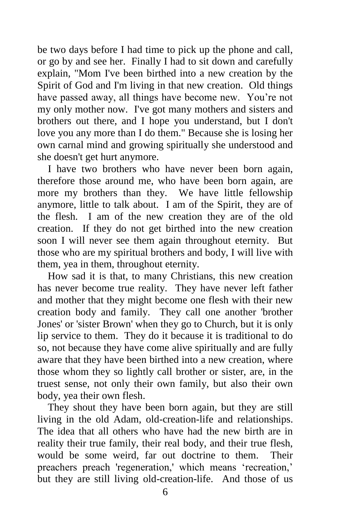be two days before I had time to pick up the phone and call, or go by and see her. Finally I had to sit down and carefully explain, "Mom I've been birthed into a new creation by the Spirit of God and I'm living in that new creation. Old things have passed away, all things have become new. You're not my only mother now. I've got many mothers and sisters and brothers out there, and I hope you understand, but I don't love you any more than I do them." Because she is losing her own carnal mind and growing spiritually she understood and she doesn't get hurt anymore.

 I have two brothers who have never been born again, therefore those around me, who have been born again, are more my brothers than they. We have little fellowship anymore, little to talk about. I am of the Spirit, they are of the flesh. I am of the new creation they are of the old creation. If they do not get birthed into the new creation soon I will never see them again throughout eternity. But those who are my spiritual brothers and body, I will live with them, yea in them, throughout eternity.

 How sad it is that, to many Christians, this new creation has never become true reality. They have never left father and mother that they might become one flesh with their new creation body and family. They call one another 'brother Jones' or 'sister Brown' when they go to Church, but it is only lip service to them. They do it because it is traditional to do so, not because they have come alive spiritually and are fully aware that they have been birthed into a new creation, where those whom they so lightly call brother or sister, are, in the truest sense, not only their own family, but also their own body, yea their own flesh.

 They shout they have been born again, but they are still living in the old Adam, old-creation-life and relationships. The idea that all others who have had the new birth are in reality their true family, their real body, and their true flesh, would be some weird, far out doctrine to them. Their preachers preach 'regeneration,' which means 'recreation,' but they are still living old-creation-life. And those of us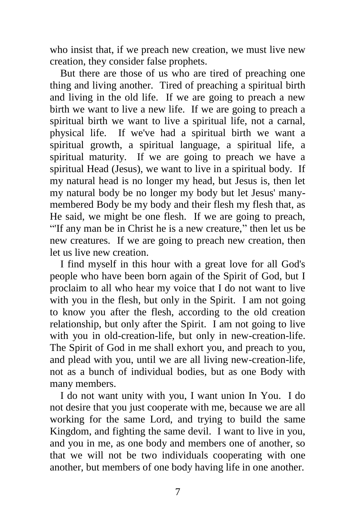who insist that, if we preach new creation, we must live new creation, they consider false prophets.

 But there are those of us who are tired of preaching one thing and living another. Tired of preaching a spiritual birth and living in the old life. If we are going to preach a new birth we want to live a new life. If we are going to preach a spiritual birth we want to live a spiritual life, not a carnal, physical life. If we've had a spiritual birth we want a spiritual growth, a spiritual language, a spiritual life, a spiritual maturity. If we are going to preach we have a spiritual Head (Jesus), we want to live in a spiritual body. If my natural head is no longer my head, but Jesus is, then let my natural body be no longer my body but let Jesus' manymembered Body be my body and their flesh my flesh that, as He said, we might be one flesh. If we are going to preach, "'If any man be in Christ he is a new creature," then let us be new creatures. If we are going to preach new creation, then let us live new creation.

 I find myself in this hour with a great love for all God's people who have been born again of the Spirit of God, but I proclaim to all who hear my voice that I do not want to live with you in the flesh, but only in the Spirit. I am not going to know you after the flesh, according to the old creation relationship, but only after the Spirit. I am not going to live with you in old-creation-life, but only in new-creation-life. The Spirit of God in me shall exhort you, and preach to you, and plead with you, until we are all living new-creation-life, not as a bunch of individual bodies, but as one Body with many members.

 I do not want unity with you, I want union In You. I do not desire that you just cooperate with me, because we are all working for the same Lord, and trying to build the same Kingdom, and fighting the same devil. I want to live in you, and you in me, as one body and members one of another, so that we will not be two individuals cooperating with one another, but members of one body having life in one another.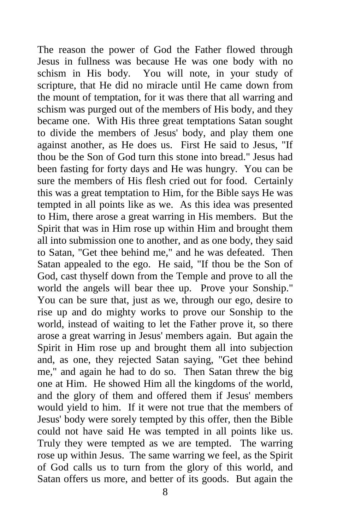The reason the power of God the Father flowed through Jesus in fullness was because He was one body with no schism in His body. You will note, in your study of scripture, that He did no miracle until He came down from the mount of temptation, for it was there that all warring and schism was purged out of the members of His body, and they became one. With His three great temptations Satan sought to divide the members of Jesus' body, and play them one against another, as He does us. First He said to Jesus, "If thou be the Son of God turn this stone into bread." Jesus had been fasting for forty days and He was hungry. You can be sure the members of His flesh cried out for food. Certainly this was a great temptation to Him, for the Bible says He was tempted in all points like as we. As this idea was presented to Him, there arose a great warring in His members. But the Spirit that was in Him rose up within Him and brought them all into submission one to another, and as one body, they said to Satan, "Get thee behind me," and he was defeated. Then Satan appealed to the ego. He said, "If thou be the Son of God, cast thyself down from the Temple and prove to all the world the angels will bear thee up. Prove your Sonship." You can be sure that, just as we, through our ego, desire to rise up and do mighty works to prove our Sonship to the world, instead of waiting to let the Father prove it, so there arose a great warring in Jesus' members again. But again the Spirit in Him rose up and brought them all into subjection and, as one, they rejected Satan saying, "Get thee behind me," and again he had to do so. Then Satan threw the big one at Him. He showed Him all the kingdoms of the world, and the glory of them and offered them if Jesus' members would yield to him. If it were not true that the members of Jesus' body were sorely tempted by this offer, then the Bible could not have said He was tempted in all points like us. Truly they were tempted as we are tempted. The warring rose up within Jesus. The same warring we feel, as the Spirit of God calls us to turn from the glory of this world, and Satan offers us more, and better of its goods. But again the